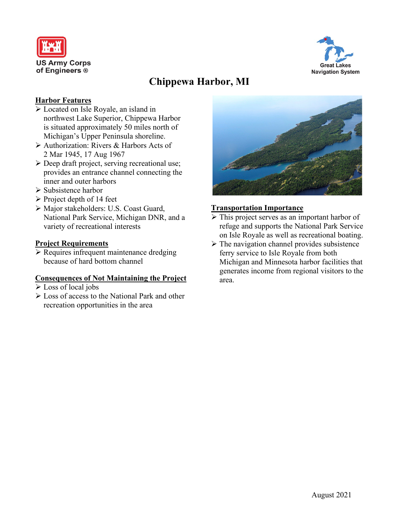



# **Chippewa Harbor, MI**

### **Harbor Features**

- Located on Isle Royale, an island in northwest Lake Superior, Chippewa Harbor is situated approximately 50 miles north of Michigan's Upper Peninsula shoreline.
- Authorization: Rivers & Harbors Acts of 2 Mar 1945, 17 Aug 1967
- Deep draft project, serving recreational use; provides an entrance channel connecting the inner and outer harbors
- $\triangleright$  Subsistence harbor
- $\triangleright$  Project depth of 14 feet
- Major stakeholders: U.S. Coast Guard, National Park Service, Michigan DNR, and a variety of recreational interests

#### **Project Requirements**

 $\triangleright$  Requires infrequent maintenance dredging because of hard bottom channel

#### **Consequences of Not Maintaining the Project**

- Loss of local jobs
- Loss of access to the National Park and other recreation opportunities in the area



#### **Transportation Importance**

- $\triangleright$  This project serves as an important harbor of refuge and supports the National Park Service on Isle Royale as well as recreational boating.
- $\triangleright$  The navigation channel provides subsistence ferry service to Isle Royale from both Michigan and Minnesota harbor facilities that generates income from regional visitors to the area.